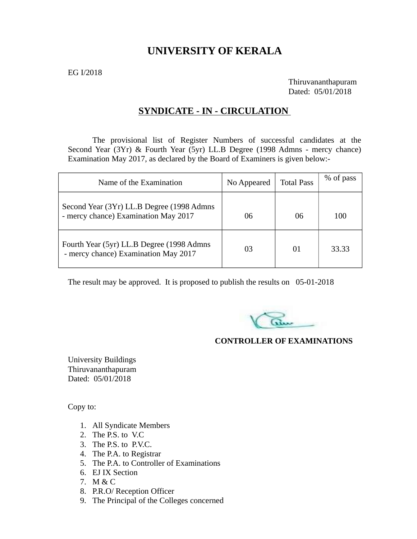# **UNIVERSITY OF KERALA**

EG I/2018

Thiruvananthapuram Dated: 05/01/2018

#### **SYNDICATE - IN - CIRCULATION**

The provisional list of Register Numbers of successful candidates at the Second Year (3Yr) & Fourth Year (5yr) LL.B Degree (1998 Admns - mercy chance) Examination May 2017, as declared by the Board of Examiners is given below:-

| Name of the Examination                                                           | No Appeared | <b>Total Pass</b> | % of pass |
|-----------------------------------------------------------------------------------|-------------|-------------------|-----------|
| Second Year (3Yr) LL.B Degree (1998 Admns<br>- mercy chance) Examination May 2017 | 06          | 06                | 100       |
| Fourth Year (5yr) LL.B Degree (1998 Admns<br>- mercy chance) Examination May 2017 | 03          | 01                | 33.33     |

The result may be approved. It is proposed to publish the results on 05-01-2018

#### **CONTROLLER OF EXAMINATIONS**

University Buildings Thiruvananthapuram Dated: 05/01/2018

Copy to:

- 1. All Syndicate Members
- 2. The P.S. to V.C
- 3. The P.S. to P.V.C.
- 4. The P.A. to Registrar
- 5. The P.A. to Controller of Examinations
- 6. EJ IX Section
- 7. M & C
- 8. P.R.O/ Reception Officer
- 9. The Principal of the Colleges concerned